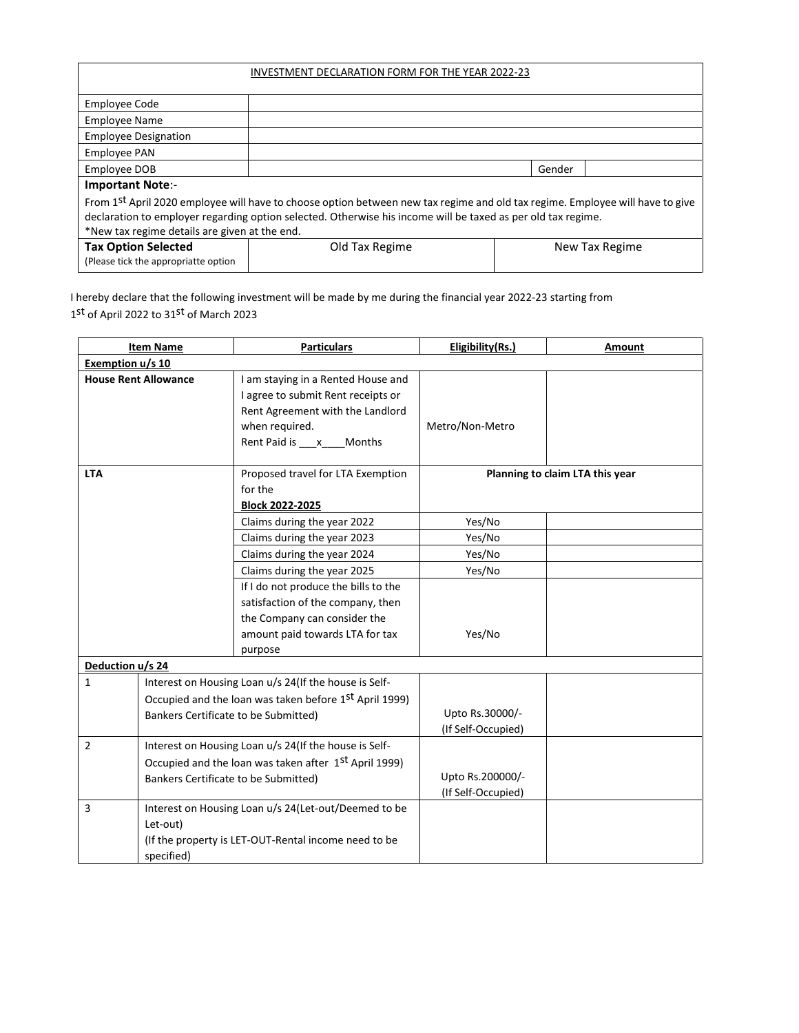| INVESTMENT DECLARATION FORM FOR THE YEAR 2022-23                                                                                                                                                                                                                                               |                |  |        |                |
|------------------------------------------------------------------------------------------------------------------------------------------------------------------------------------------------------------------------------------------------------------------------------------------------|----------------|--|--------|----------------|
| <b>Employee Code</b>                                                                                                                                                                                                                                                                           |                |  |        |                |
| <b>Employee Name</b>                                                                                                                                                                                                                                                                           |                |  |        |                |
| <b>Employee Designation</b>                                                                                                                                                                                                                                                                    |                |  |        |                |
| <b>Employee PAN</b>                                                                                                                                                                                                                                                                            |                |  |        |                |
| Employee DOB                                                                                                                                                                                                                                                                                   |                |  | Gender |                |
| <b>Important Note:-</b>                                                                                                                                                                                                                                                                        |                |  |        |                |
| From 1st April 2020 employee will have to choose option between new tax regime and old tax regime. Employee will have to give<br>declaration to employer regarding option selected. Otherwise his income will be taxed as per old tax regime.<br>*New tax regime details are given at the end. |                |  |        |                |
| <b>Tax Option Selected</b><br>(Please tick the appropriatte option                                                                                                                                                                                                                             | Old Tax Regime |  |        | New Tax Regime |

I hereby declare that the following investment will be made by me during the financial year 2022-23 starting from  $1<sup>st</sup>$  of April 2022 to 31<sup>st</sup> of March 2023

|                                                       | <b>Item Name</b>                                       | <b>Particulars</b>                                    | Eligibility(Rs.)   | Amount                          |
|-------------------------------------------------------|--------------------------------------------------------|-------------------------------------------------------|--------------------|---------------------------------|
| Exemption u/s 10                                      |                                                        |                                                       |                    |                                 |
|                                                       | <b>House Rent Allowance</b>                            | I am staying in a Rented House and                    |                    |                                 |
|                                                       |                                                        | I agree to submit Rent receipts or                    |                    |                                 |
|                                                       |                                                        | Rent Agreement with the Landlord                      |                    |                                 |
|                                                       |                                                        | when required.                                        | Metro/Non-Metro    |                                 |
|                                                       |                                                        | Rent Paid is ___ x ___ Months                         |                    |                                 |
|                                                       |                                                        |                                                       |                    |                                 |
| <b>LTA</b>                                            |                                                        | Proposed travel for LTA Exemption                     |                    | Planning to claim LTA this year |
|                                                       |                                                        | for the                                               |                    |                                 |
|                                                       |                                                        | <b>Block 2022-2025</b>                                |                    |                                 |
|                                                       |                                                        | Claims during the year 2022                           | Yes/No             |                                 |
|                                                       |                                                        | Claims during the year 2023                           | Yes/No             |                                 |
|                                                       |                                                        | Claims during the year 2024                           | Yes/No             |                                 |
|                                                       |                                                        | Claims during the year 2025                           | Yes/No             |                                 |
|                                                       |                                                        | If I do not produce the bills to the                  |                    |                                 |
|                                                       |                                                        | satisfaction of the company, then                     |                    |                                 |
|                                                       |                                                        | the Company can consider the                          |                    |                                 |
|                                                       |                                                        | amount paid towards LTA for tax                       | Yes/No             |                                 |
|                                                       |                                                        | purpose                                               |                    |                                 |
| Deduction u/s 24                                      |                                                        |                                                       |                    |                                 |
| $\mathbf{1}$                                          |                                                        | Interest on Housing Loan u/s 24(If the house is Self- |                    |                                 |
|                                                       | Occupied and the loan was taken before 1st April 1999) |                                                       |                    |                                 |
| Bankers Certificate to be Submitted)                  |                                                        |                                                       | Upto Rs.30000/-    |                                 |
|                                                       |                                                        |                                                       | (If Self-Occupied) |                                 |
| $\overline{2}$                                        | Interest on Housing Loan u/s 24(If the house is Self-  |                                                       |                    |                                 |
| Occupied and the loan was taken after 1st April 1999) |                                                        |                                                       |                    |                                 |
|                                                       | Bankers Certificate to be Submitted)                   |                                                       | Upto Rs.200000/-   |                                 |
|                                                       |                                                        | (If Self-Occupied)                                    |                    |                                 |
| 3                                                     | Interest on Housing Loan u/s 24(Let-out/Deemed to be   |                                                       |                    |                                 |
|                                                       | Let-out)                                               |                                                       |                    |                                 |
|                                                       | (If the property is LET-OUT-Rental income need to be   |                                                       |                    |                                 |
|                                                       | specified)                                             |                                                       |                    |                                 |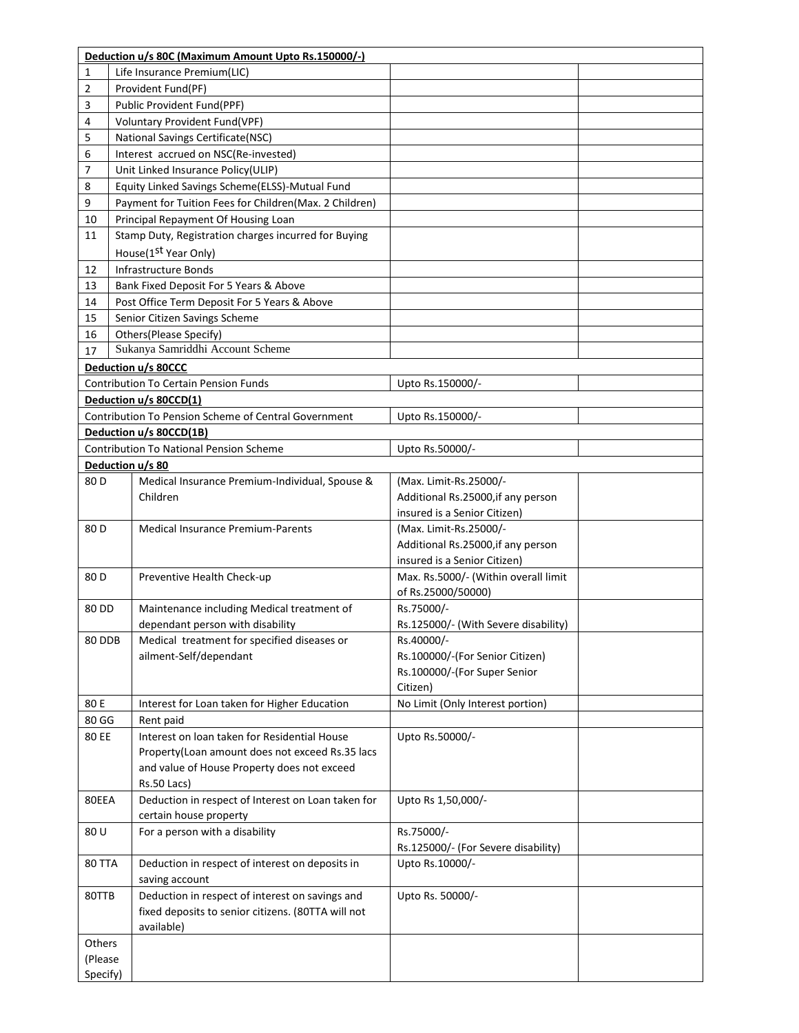|                 | Deduction u/s 80C (Maximum Amount Upto Rs.150000/-)               |                                      |  |
|-----------------|-------------------------------------------------------------------|--------------------------------------|--|
| 1               | Life Insurance Premium(LIC)                                       |                                      |  |
| 2               | Provident Fund(PF)                                                |                                      |  |
| 3               | Public Provident Fund(PPF)                                        |                                      |  |
| 4               | Voluntary Provident Fund(VPF)                                     |                                      |  |
| 5               | National Savings Certificate(NSC)                                 |                                      |  |
| 6               | Interest accrued on NSC(Re-invested)                              |                                      |  |
| 7               | Unit Linked Insurance Policy(ULIP)                                |                                      |  |
| 8               | Equity Linked Savings Scheme(ELSS)-Mutual Fund                    |                                      |  |
| 9               | Payment for Tuition Fees for Children(Max. 2 Children)            |                                      |  |
| 10              | Principal Repayment Of Housing Loan                               |                                      |  |
| 11              | Stamp Duty, Registration charges incurred for Buying              |                                      |  |
|                 | House(1 <sup>st</sup> Year Only)                                  |                                      |  |
| 12              | <b>Infrastructure Bonds</b>                                       |                                      |  |
| 13              | Bank Fixed Deposit For 5 Years & Above                            |                                      |  |
| 14              | Post Office Term Deposit For 5 Years & Above                      |                                      |  |
| 15              | Senior Citizen Savings Scheme                                     |                                      |  |
| 16              | Others(Please Specify)                                            |                                      |  |
| 17              | Sukanya Samriddhi Account Scheme                                  |                                      |  |
|                 | Deduction u/s 80CCC                                               |                                      |  |
|                 | Contribution To Certain Pension Funds                             | Upto Rs.150000/-                     |  |
|                 | Deduction u/s 80CCD(1)                                            |                                      |  |
|                 | Contribution To Pension Scheme of Central Government              | Upto Rs.150000/-                     |  |
|                 | Deduction u/s 80CCD(1B)                                           |                                      |  |
|                 | <b>Contribution To National Pension Scheme</b>                    | Upto Rs.50000/-                      |  |
|                 | Deduction u/s 80                                                  |                                      |  |
| 80 D            | Medical Insurance Premium-Individual, Spouse &                    | (Max. Limit-Rs.25000/-               |  |
|                 | Children                                                          | Additional Rs.25000, if any person   |  |
|                 |                                                                   | insured is a Senior Citizen)         |  |
| 80 <sub>D</sub> | <b>Medical Insurance Premium-Parents</b>                          | (Max. Limit-Rs.25000/-               |  |
|                 |                                                                   | Additional Rs.25000, if any person   |  |
|                 |                                                                   | insured is a Senior Citizen)         |  |
| 80 D            | Preventive Health Check-up                                        | Max. Rs.5000/- (Within overall limit |  |
|                 |                                                                   | of Rs.25000/50000)                   |  |
| 80 DD           | Maintenance including Medical treatment of                        | Rs.75000/-                           |  |
|                 | dependant person with disability                                  | Rs.125000/- (With Severe disability) |  |
| 80 DDB          | Medical treatment for specified diseases or                       | Rs.40000/-                           |  |
|                 | ailment-Self/dependant                                            | Rs.100000/-(For Senior Citizen)      |  |
|                 |                                                                   | Rs.100000/-(For Super Senior         |  |
|                 |                                                                   | Citizen)                             |  |
| 80 E            | Interest for Loan taken for Higher Education                      | No Limit (Only Interest portion)     |  |
| 80 GG           | Rent paid                                                         |                                      |  |
| 80 EE           | Interest on loan taken for Residential House                      | Upto Rs.50000/-                      |  |
|                 | Property(Loan amount does not exceed Rs.35 lacs                   |                                      |  |
|                 | and value of House Property does not exceed                       |                                      |  |
| 80EEA           | Rs.50 Lacs)<br>Deduction in respect of Interest on Loan taken for | Upto Rs 1,50,000/-                   |  |
|                 | certain house property                                            |                                      |  |
| 80 U            | For a person with a disability                                    | Rs.75000/-                           |  |
|                 |                                                                   | Rs.125000/- (For Severe disability)  |  |
| <b>80 TTA</b>   | Deduction in respect of interest on deposits in                   | Upto Rs.10000/-                      |  |
|                 | saving account                                                    |                                      |  |
| 80TTB           | Deduction in respect of interest on savings and                   | Upto Rs. 50000/-                     |  |
|                 | fixed deposits to senior citizens. (80TTA will not                |                                      |  |
|                 | available)                                                        |                                      |  |
| Others          |                                                                   |                                      |  |
| (Please         |                                                                   |                                      |  |
| Specify)        |                                                                   |                                      |  |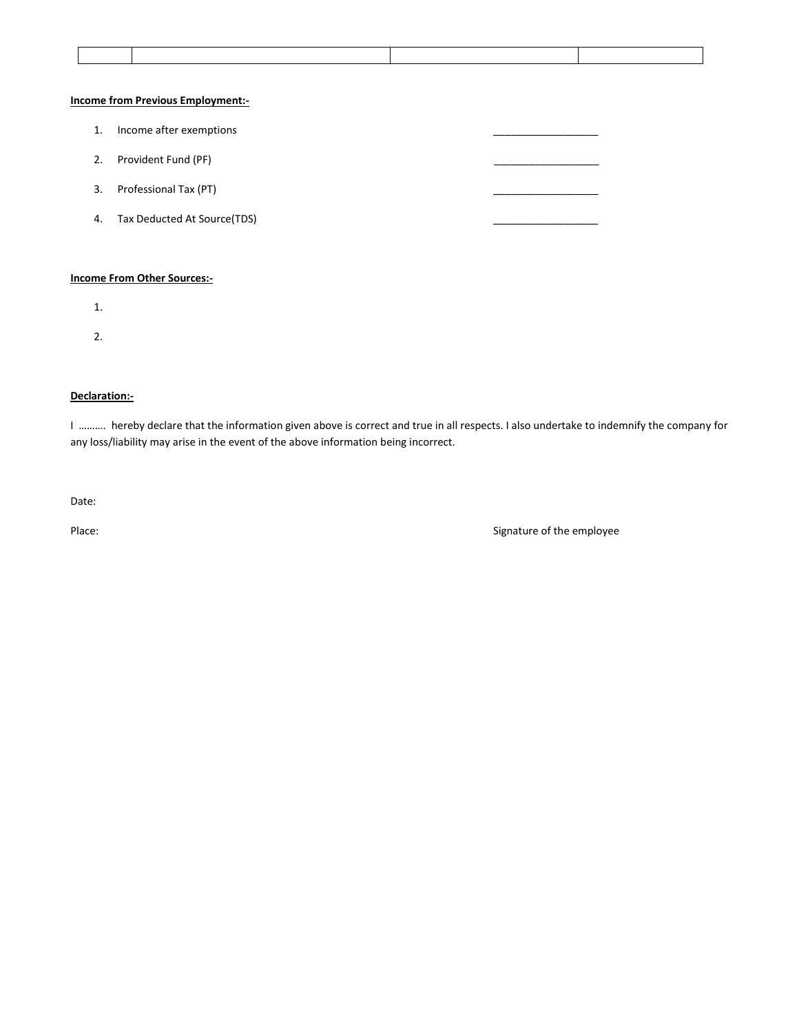### **Income from Previous Employment:-**

1. Income after exemptions 2. Provident Fund (PF) 3. Professional Tax (PT) 4. Tax Deducted At Source(TDS)

#### **Income From Other Sources:-**

- 1.
- 
- 2.

#### **Declaration:-**

I ………. hereby declare that the information given above is correct and true in all respects. I also undertake to indemnify the company for any loss/liability may arise in the event of the above information being incorrect.

Date:

Place: Signature of the employee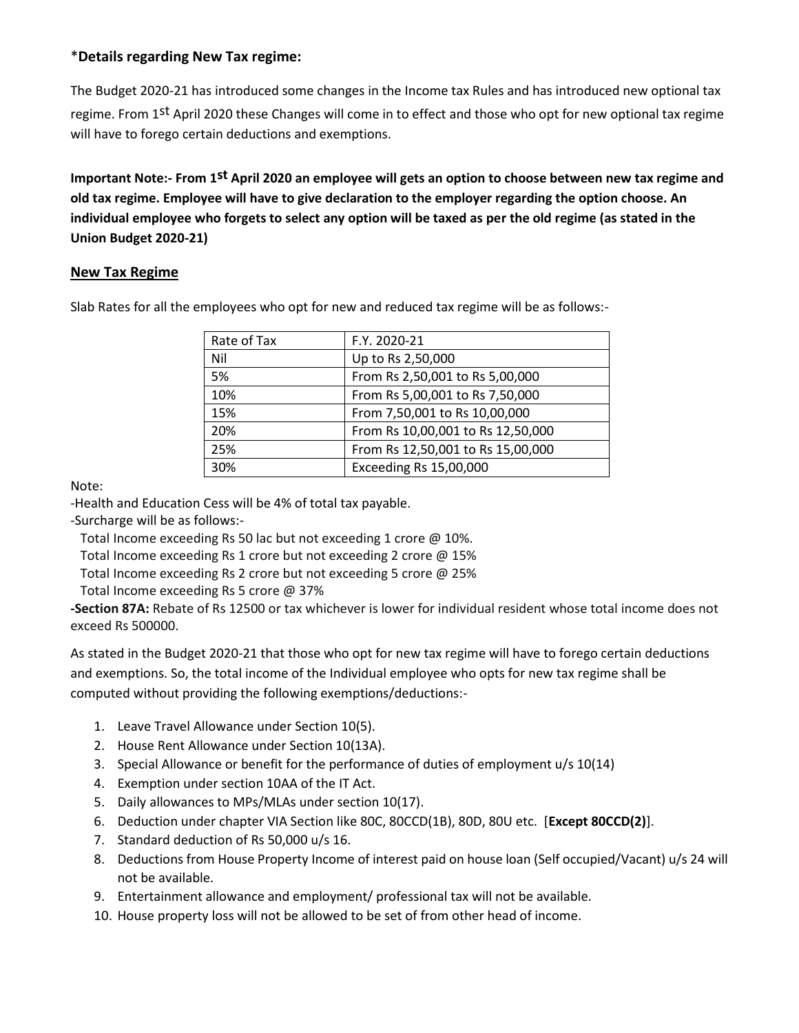# \***Details regarding New Tax regime:**

The Budget 2020-21 has introduced some changes in the Income tax Rules and has introduced new optional tax regime. From 1st April 2020 these Changes will come in to effect and those who opt for new optional tax regime will have to forego certain deductions and exemptions.

**Important Note:- From 1st April 2020 an employee will gets an option to choose between new tax regime and old tax regime. Employee will have to give declaration to the employer regarding the option choose. An individual employee who forgets to select any option will be taxed as per the old regime (as stated in the Union Budget 2020-21)**

# **New Tax Regime**

Slab Rates for all the employees who opt for new and reduced tax regime will be as follows:-

| Rate of Tax | F.Y. 2020-21                      |
|-------------|-----------------------------------|
| Nil         | Up to Rs 2,50,000                 |
| 5%          | From Rs 2,50,001 to Rs 5,00,000   |
| 10%         | From Rs 5,00,001 to Rs 7,50,000   |
| 15%         | From 7,50,001 to Rs 10,00,000     |
| 20%         | From Rs 10,00,001 to Rs 12,50,000 |
| 25%         | From Rs 12,50,001 to Rs 15,00,000 |
| 30%         | Exceeding Rs 15,00,000            |

Note:

-Health and Education Cess will be 4% of total tax payable.

-Surcharge will be as follows:-

Total Income exceeding Rs 50 lac but not exceeding 1 crore @ 10%.

Total Income exceeding Rs 1 crore but not exceeding 2 crore @ 15%

Total Income exceeding Rs 2 crore but not exceeding 5 crore @ 25%

Total Income exceeding Rs 5 crore @ 37%

**-Section 87A:** Rebate of Rs 12500 or tax whichever is lower for individual resident whose total income does not exceed Rs 500000.

As stated in the Budget 2020-21 that those who opt for new tax regime will have to forego certain deductions and exemptions. So, the total income of the Individual employee who opts for new tax regime shall be computed without providing the following exemptions/deductions:-

- 1. Leave Travel Allowance under Section 10(5).
- 2. House Rent Allowance under Section 10(13A).
- 3. Special Allowance or benefit for the performance of duties of employment u/s 10(14)
- 4. Exemption under section 10AA of the IT Act.
- 5. Daily allowances to MPs/MLAs under section 10(17).
- 6. Deduction under chapter VIA Section like 80C, 80CCD(1B), 80D, 80U etc. [**Except 80CCD(2)**].
- 7. Standard deduction of Rs 50,000 u/s 16.
- 8. Deductions from House Property Income of interest paid on house loan (Self occupied/Vacant) u/s 24 will not be available.
- 9. Entertainment allowance and employment/ professional tax will not be available.
- 10. House property loss will not be allowed to be set of from other head of income.